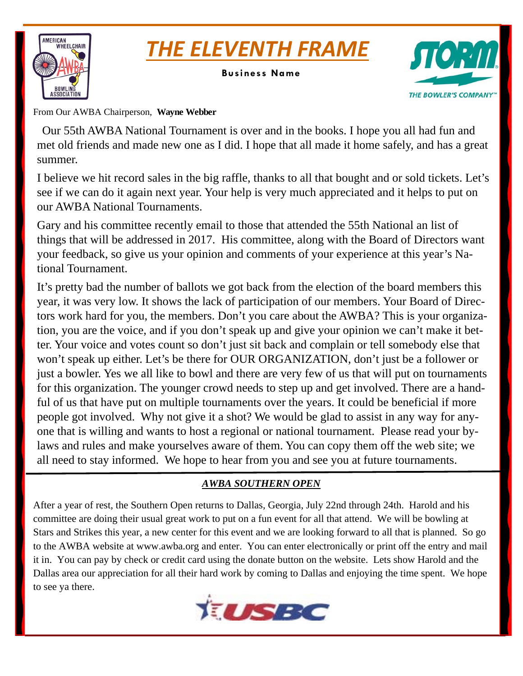



**Business Name** 



From Our AWBA Chairperson, **Wayne Webber** 

 Our 55th AWBA National Tournament is over and in the books. I hope you all had fun and met old friends and made new one as I did. I hope that all made it home safely, and has a great summer.

I believe we hit record sales in the big raffle, thanks to all that bought and or sold tickets. Let's see if we can do it again next year. Your help is very much appreciated and it helps to put on our AWBA National Tournaments.

Gary and his committee recently email to those that attended the 55th National an list of things that will be addressed in 2017. His committee, along with the Board of Directors want your feedback, so give us your opinion and comments of your experience at this year's National Tournament.

It's pretty bad the number of ballots we got back from the election of the board members this year, it was very low. It shows the lack of participation of our members. Your Board of Directors work hard for you, the members. Don't you care about the AWBA? This is your organization, you are the voice, and if you don't speak up and give your opinion we can't make it better. Your voice and votes count so don't just sit back and complain or tell somebody else that won't speak up either. Let's be there for OUR ORGANIZATION, don't just be a follower or just a bowler. Yes we all like to bowl and there are very few of us that will put on tournaments for this organization. The younger crowd needs to step up and get involved. There are a handful of us that have put on multiple tournaments over the years. It could be beneficial if more people got involved. Why not give it a shot? We would be glad to assist in any way for anyone that is willing and wants to host a regional or national tournament. Please read your bylaws and rules and make yourselves aware of them. You can copy them off the web site; we all need to stay informed. We hope to hear from you and see you at future tournaments.

# *AWBA SOUTHERN OPEN*

After a year of rest, the Southern Open returns to Dallas, Georgia, July 22nd through 24th. Harold and his committee are doing their usual great work to put on a fun event for all that attend. We will be bowling at Stars and Strikes this year, a new center for this event and we are looking forward to all that is planned. So go to the AWBA website at www.awba.org and enter. You can enter electronically or print off the entry and mail it in. You can pay by check or credit card using the donate button on the website. Lets show Harold and the Dallas area our appreciation for all their hard work by coming to Dallas and enjoying the time spent. We hope to see ya there.

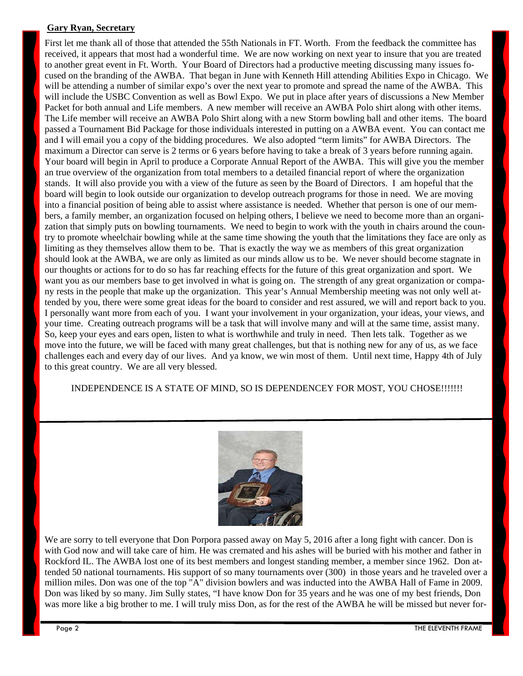#### **Gary Ryan, Secretary**

First let me thank all of those that attended the 55th Nationals in FT. Worth. From the feedback the committee has received, it appears that most had a wonderful time. We are now working on next year to insure that you are treated to another great event in Ft. Worth. Your Board of Directors had a productive meeting discussing many issues focused on the branding of the AWBA. That began in June with Kenneth Hill attending Abilities Expo in Chicago. We will be attending a number of similar expo's over the next year to promote and spread the name of the AWBA. This will include the USBC Convention as well as Bowl Expo. We put in place after years of discussions a New Member Packet for both annual and Life members. A new member will receive an AWBA Polo shirt along with other items. The Life member will receive an AWBA Polo Shirt along with a new Storm bowling ball and other items. The board passed a Tournament Bid Package for those individuals interested in putting on a AWBA event. You can contact me and I will email you a copy of the bidding procedures. We also adopted "term limits" for AWBA Directors. The maximum a Director can serve is 2 terms or 6 years before having to take a break of 3 years before running again. Your board will begin in April to produce a Corporate Annual Report of the AWBA. This will give you the member an true overview of the organization from total members to a detailed financial report of where the organization stands. It will also provide you with a view of the future as seen by the Board of Directors. I am hopeful that the board will begin to look outside our organization to develop outreach programs for those in need. We are moving into a financial position of being able to assist where assistance is needed. Whether that person is one of our members, a family member, an organization focused on helping others, I believe we need to become more than an organization that simply puts on bowling tournaments. We need to begin to work with the youth in chairs around the country to promote wheelchair bowling while at the same time showing the youth that the limitations they face are only as limiting as they themselves allow them to be. That is exactly the way we as members of this great organization should look at the AWBA, we are only as limited as our minds allow us to be. We never should become stagnate in our thoughts or actions for to do so has far reaching effects for the future of this great organization and sport. We want you as our members base to get involved in what is going on. The strength of any great organization or company rests in the people that make up the organization. This year's Annual Membership meeting was not only well attended by you, there were some great ideas for the board to consider and rest assured, we will and report back to you. I personally want more from each of you. I want your involvement in your organization, your ideas, your views, and your time. Creating outreach programs will be a task that will involve many and will at the same time, assist many. So, keep your eyes and ears open, listen to what is worthwhile and truly in need. Then lets talk. Together as we move into the future, we will be faced with many great challenges, but that is nothing new for any of us, as we face challenges each and every day of our lives. And ya know, we win most of them. Until next time, Happy 4th of July to this great country. We are all very blessed.

#### INDEPENDENCE IS A STATE OF MIND, SO IS DEPENDENCEY FOR MOST, YOU CHOSE!!!!!!!



We are sorry to tell everyone that Don Porpora passed away on May 5, 2016 after a long fight with cancer. Don is with God now and will take care of him. He was cremated and his ashes will be buried with his mother and father in Rockford IL. The AWBA lost one of its best members and longest standing member, a member since 1962. Don attended 50 national tournaments. His support of so many tournaments over (300) in those years and he traveled over a million miles. Don was one of the top "A" division bowlers and was inducted into the AWBA Hall of Fame in 2009. Don was liked by so many. Jim Sully states, "I have know Don for 35 years and he was one of my best friends, Don was more like a big brother to me. I will truly miss Don, as for the rest of the AWBA he will be missed but never for-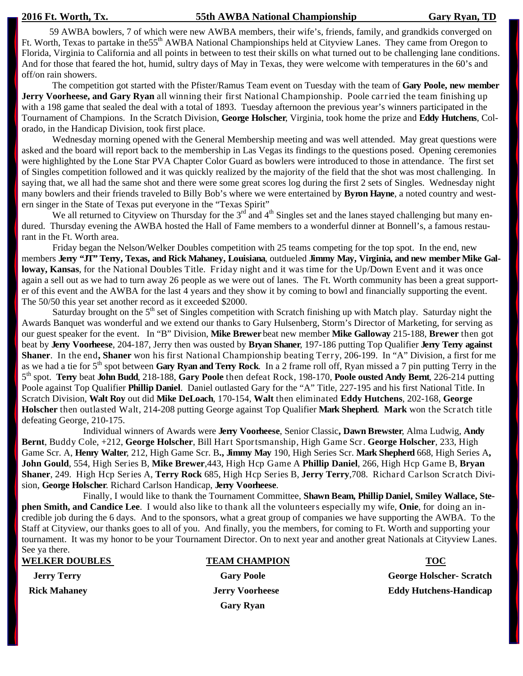#### **2016 Ft. Worth, Tx. 55th AWBA National Championship Gary Ryan, TD**

 59 AWBA bowlers, 7 of which were new AWBA members, their wife's, friends, family, and grandkids converged on Ft. Worth, Texas to partake in the 55<sup>th</sup> AWBA National Championships held at Cityview Lanes. They came from Oregon to Florida, Virginia to California and all points in between to test their skills on what turned out to be challenging lane conditions. And for those that feared the hot, humid, sultry days of May in Texas, they were welcome with temperatures in the 60's and off/on rain showers.

 The competition got started with the Pfister/Ramus Team event on Tuesday with the team of **Gary Poole, new member Jerry Voorheese, and Gary Ryan** all winning their first National Championship. Poole carried the team finishing up with a 198 game that sealed the deal with a total of 1893. Tuesday afternoon the previous year's winners participated in the Tournament of Champions. In the Scratch Division, **George Holscher**, Virginia, took home the prize and **Eddy Hutchens**, Colorado, in the Handicap Division, took first place.

Wednesday morning opened with the General Membership meeting and was well attended. May great questions were asked and the board will report back to the membership in Las Vegas its findings to the questions posed. Opening ceremonies were highlighted by the Lone Star PVA Chapter Color Guard as bowlers were introduced to those in attendance. The first set of Singles competition followed and it was quickly realized by the majority of the field that the shot was most challenging. In saying that, we all had the same shot and there were some great scores log during the first 2 sets of Singles. Wednesday night many bowlers and their friends traveled to Billy Bob's where we were entertained by **Byron Hayne**, a noted country and western singer in the State of Texas put everyone in the "Texas Spirit"

We all returned to Cityview on Thursday for the  $3<sup>rd</sup>$  and  $4<sup>th</sup>$  Singles set and the lanes stayed challenging but many endured. Thursday evening the AWBA hosted the Hall of Fame members to a wonderful dinner at Bonnell's, a famous restaurant in the Ft. Worth area.

Friday began the Nelson/Welker Doubles competition with 25 teams competing for the top spot. In the end, new members **Jerry "JT" Terry, Texas, and Rick Mahaney, Louisiana**, outdueled **Jimmy May, Virginia, and new member Mike Galloway, Kansas**, for the National Doubles Title. Friday night and it was time for the Up/Down Event and it was once again a sell out as we had to turn away 26 people as we were out of lanes. The Ft. Worth community has been a great supporter of this event and the AWBA for the last 4 years and they show it by coming to bowl and financially supporting the event. The 50/50 this year set another record as it exceeded \$2000.

Saturday brought on the  $5<sup>th</sup>$  set of Singles competition with Scratch finishing up with Match play. Saturday night the Awards Banquet was wonderful and we extend our thanks to Gary Hulsenberg, Storm's Director of Marketing, for serving as our guest speaker for the event. In "B" Division, **Mike Brewer** beat new member **Mike Galloway** 215-188, **Brewer** then got beat by **Jerry Voorheese**, 204-187, Jerry then was ousted by **Bryan Shaner**, 197-186 putting Top Qualifier **Jerry Terry against Shaner**. In the end**, Shaner** won his first National Championship beating Terry, 206-199. In "A" Division, a first for me as we had a tie for 5<sup>th</sup> spot between **Gary Ryan and Terry Rock**. In a 2 frame roll off, Ryan missed a 7 pin putting Terry in the 5th spot. **Terry** beat **John Budd**, 218-188, **Gary Poole** then defeat Rock, 198-170, **Poole ousted Andy Bernt**, 226-214 putting Poole against Top Qualifier **Phillip Daniel**. Daniel outlasted Gary for the "A" Title, 227-195 and his first National Title. In Scratch Division, **Walt Roy** out did **Mike DeLoach**, 170-154, **Walt** then eliminated **Eddy Hutchens**, 202-168, **George Holscher** then outlasted Walt, 214-208 putting George against Top Qualifier **Mark Shepherd**. **Mark** won the Scratch title defeating George, 210-175.

 Individual winners of Awards were **Jerry Voorheese**, Senior Classic**, Dawn Brewster**, Alma Ludwig, **Andy Bernt**, Buddy Cole, +212, **George Holscher**, Bill Hart Sportsmanship, High Game Scr. **George Holscher**, 233, High Game Scr. A, **Henry Walter**, 212, High Game Scr. B**., Jimmy May** 190, High Series Scr. **Mark Shepherd** 668, High Series A**, John Gould**, 554, High Series B, **Mike Brewer**,443, High Hcp Game A **Phillip Daniel**, 266, High Hcp Game B, **Bryan Shaner**, 249. High Hcp Series A, **Terry Rock** 685, High Hcp Series B, **Jerry Terry**,708. Richard Carlson Scratch Division, **George Holscher**. Richard Carlson Handicap, **Jerry Voorheese**.

 Finally, I would like to thank the Tournament Committee, **Shawn Beam, Phillip Daniel, Smiley Wallace, Stephen Smith, and Candice Lee**. I would also like to thank all the volunteers especially my wife, **Onie**, for doing an incredible job during the 6 days. And to the sponsors, what a great group of companies we have supporting the AWBA. To the Staff at Cityview, our thanks goes to all of you. And finally, you the members, for coming to Ft. Worth and supporting your tournament. It was my honor to be your Tournament Director. On to next year and another great Nationals at Cityview Lanes. See ya there.

| <b>WELKER DOUBLES</b> |  |  |
|-----------------------|--|--|
| <b>Jerry Terry</b>    |  |  |
| Dielz Mehonev         |  |  |

#### **WEAM CHAMPION TOC**

 **Gary Ryan** 

Gary Poole **George Holscher- Scratch** Rick Mahaney *Berry Voorheese* **Eddy Hutchens-Handicap Eddy Hutchens-Handicap**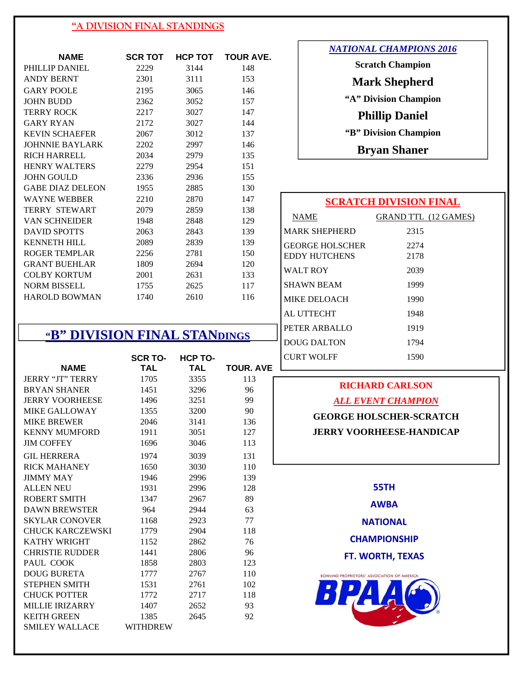#### **"A DIVISION FINAL STANDINGS**

| <b>NAME</b>             | <b>SCR TOT</b> | НСР ТОТ | <b>TOUR AVE.</b> |
|-------------------------|----------------|---------|------------------|
| PHILLIP DANIEL          | 2229           | 3144    | 148              |
| <b>ANDY BERNT</b>       | 2301           | 3111    | 153              |
| <b>GARY POOLE</b>       | 2195           | 3065    | 146              |
| <b>JOHN BUDD</b>        | 2362           | 3052    | 157              |
| <b>TERRY ROCK</b>       | 2217           | 3027    | 147              |
| <b>GARY RYAN</b>        | 2172           | 3027    | 144              |
| <b>KEVIN SCHAEFER</b>   | 2067           | 3012    | 137              |
| <b>JOHNNIE BAYLARK</b>  | 2202           | 2997    | 146              |
| RICH HARRELL            | 2034           | 2979    | 135              |
| <b>HENRY WALTERS</b>    | 2279           | 2954    | 151              |
| <b>JOHN GOULD</b>       | 2336           | 2936    | 155              |
| <b>GABE DIAZ DELEON</b> | 1955           | 2885    | 130              |
| <b>WAYNE WEBBER</b>     | 2210           | 2870    | 147              |
| <b>TERRY STEWART</b>    | 2079           | 2859    | 138              |
| <b>VAN SCHNEIDER</b>    | 1948           | 2848    | 129              |
| <b>DAVID SPOTTS</b>     | 2063           | 2843    | 139              |
| <b>KENNETH HILL</b>     | 2089           | 2839    | 139              |
| ROGER TEMPLAR           | 2256           | 2781    | 150              |
| <b>GRANT BUEHLAR</b>    | 1809           | 2694    | 120              |
| <b>COLBY KORTUM</b>     | 2001           | 2631    | 133              |
| <b>NORM BISSELL</b>     | 1755           | 2625    | 117              |
| <b>HAROLD BOWMAN</b>    | 1740           | 2610    | 116              |

# **"B" DIVISION FINAL STANDINGS**

| <b>NAME</b>             | <b>SCR TO-</b><br>TAL | <b>HCP TO-</b><br><b>TAL</b> | TOUR. A |
|-------------------------|-----------------------|------------------------------|---------|
| <b>JERRY "JT" TERRY</b> | 1705                  | 3355                         | 113     |
| <b>BRYAN SHANER</b>     | 1451                  | 3296                         | 96      |
| <b>JERRY VOORHEESE</b>  | 1496                  | 3251                         | 99      |
| <b>MIKE GALLOWAY</b>    | 1355                  | 3200                         | 90      |
| <b>MIKE BREWER</b>      | 2046                  | 3141                         | 136     |
| <b>KENNY MUMFORD</b>    | 1911                  | 3051                         | 127     |
| <b>JIM COFFEY</b>       | 1696                  | 3046                         | 113     |
| <b>GIL HERRERA</b>      | 1974                  | 3039                         | 131     |
| <b>RICK MAHANEY</b>     | 1650                  | 3030                         | 110     |
| <b>JIMMY MAY</b>        | 1946                  | 2996                         | 139     |
| <b>ALLEN NEU</b>        | 1931                  | 2996                         | 128     |
| <b>ROBERT SMITH</b>     | 1347                  | 2967                         | 89      |
| <b>DAWN BREWSTER</b>    | 964                   | 2944                         | 63      |
| <b>SKYLAR CONOVER</b>   | 1168                  | 2923                         | 77      |
| CHUCK KARCZEWSKI        | 1779                  | 2904                         | 118     |
| <b>KATHY WRIGHT</b>     | 1152                  | 2862                         | 76      |
| <b>CHRISTIE RUDDER</b>  | 1441                  | 2806                         | 96      |
| PAUL COOK               | 1858                  | 2803                         | 123     |
| <b>DOUG BURETA</b>      | 1777                  | 2767                         | 110     |
| <b>STEPHEN SMITH</b>    | 1531                  | 2761                         | 102     |
| <b>CHUCK POTTER</b>     | 1772                  | 2717                         | 118     |
| <b>MILLIE IRIZARRY</b>  | 1407                  | 2652                         | 93      |
| <b>KEITH GREEN</b>      | 1385                  | 2645                         | 92      |
| <b>SMILEY WALLACE</b>   | <b>WITHDREW</b>       |                              |         |

| <i>NATIONAL CHAMPIONS 2016</i> |
|--------------------------------|
| <b>Scratch Champion</b>        |
| <b>Mark Shepherd</b>           |
| "A" Division Champion          |
| <b>Phillip Daniel</b>          |
| "B" Division Champion          |
| <b>Bryan Shaner</b>            |
|                                |

## **SCRATCH DIVISION FINAL**

|            | NAME                                           | <b>GRAND TTL (12 GAMES)</b> |
|------------|------------------------------------------------|-----------------------------|
|            | <b>MARK SHEPHERD</b>                           | 2315                        |
|            | <b>GEORGE HOLSCHER</b><br><b>EDDY HUTCHENS</b> | 2274<br>2178                |
|            | <b>WALT ROY</b>                                | 2039                        |
|            | <b>SHAWN BEAM</b>                              | 1999                        |
|            | <b>MIKE DELOACH</b>                            | 1990                        |
|            | <b>AL UTTECHT</b>                              | 1948                        |
|            | PETER ARBALLO                                  | 1919                        |
|            | <b>DOUG DALTON</b>                             | 1794                        |
| <b>AVE</b> | <b>CURT WOLFF</b>                              | 1590                        |
|            |                                                |                             |

## **RICHARD CARLSON**

#### *ALL EVENT CHAMPION*

**GEORGE HOLSCHER-SCRATCH JERRY VOORHEESE-HANDICAP** 

**55TH**

**AWBA**

**NATIONAL** 

**CHAMPIONSHIP**

**FT. WORTH, TEXAS**

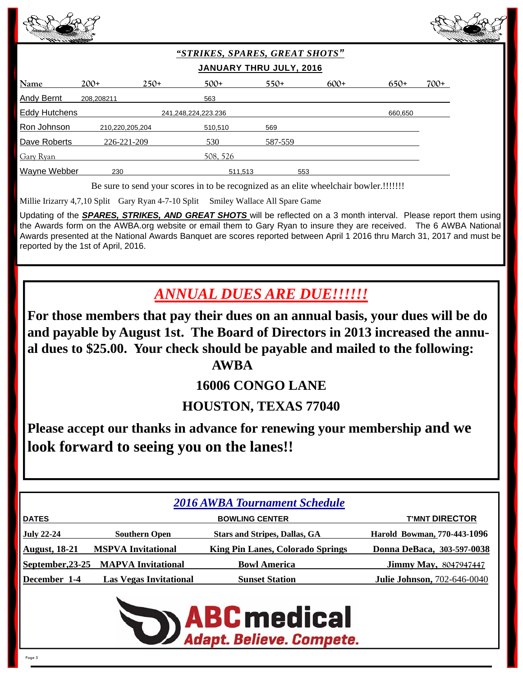



## *"STRIKES, SPARES, GREAT SHOTS"*  **JANUARY THRU JULY, 2016**

| Name                | $200+$          | $250+$              | $500+$   | $550+$  |     | $600+$ | $650+$  | $700+$ |
|---------------------|-----------------|---------------------|----------|---------|-----|--------|---------|--------|
| <b>Andy Bernt</b>   | 208,208211      |                     | 563      |         |     |        |         |        |
| Eddy Hutchens       |                 | 241,248,224,223.236 |          |         |     |        | 660,650 |        |
| R <u>on Johnson</u> | 210,220,205,204 |                     | 510,510  | 569     |     |        |         |        |
| Dave Roberts        | 226-221-209     |                     | 530      | 587-559 |     |        |         |        |
| Gary Ryan           |                 |                     | 508, 526 |         |     |        |         |        |
| Wayne Webber        | 230             |                     | 511,513  |         | 553 |        |         |        |

Be sure to send your scores in to be recognized as an elite wheelchair bowler.!!!!!!!

Millie Irizarry 4,7,10 Split Gary Ryan 4-7-10 Split Smiley Wallace All Spare Game

Updating of the *SPARES, STRIKES, AND GREAT SHOTS* will be reflected on a 3 month interval. Please report them using the Awards form on the AWBA.org website or email them to Gary Ryan to insure they are received. The 6 AWBA National Awards presented at the National Awards Banquet are scores reported between April 1 2016 thru March 31, 2017 and must be reported by the 1st of April, 2016.

*ANNUAL DUES ARE DUE!!!!!!* 

**For those members that pay their dues on an annual basis, your dues will be do and payable by August 1st. The Board of Directors in 2013 increased the annual dues to \$25.00. Your check should be payable and mailed to the following: AWBA** 

# **16006 CONGO LANE**

# **HOUSTON, TEXAS 77040**

**Please accept our thanks in advance for renewing your membership and we look forward to seeing you on the lanes!!** 

| <b>2016 AWBA Tournament Schedule</b>                           |                                     |                                         |                                    |
|----------------------------------------------------------------|-------------------------------------|-----------------------------------------|------------------------------------|
| <b>T'MNT DIRECTOR</b><br><b>DATES</b><br><b>BOWLING CENTER</b> |                                     |                                         |                                    |
| <u>July 22-24</u>                                              | <b>Southern Open</b>                | <b>Stars and Stripes, Dallas, GA</b>    | Harold Bowman, 770-443-1096        |
| <b>August, 18-21</b>                                           | <b>MSPVA Invitational</b>           | <b>King Pin Lanes, Colorado Springs</b> | Donna DeBaca, 303-597-0038         |
|                                                                | September, 23-25 MAPVA Invitational | <b>Bowl America</b>                     | <b>Jimmy May, 8047947447</b>       |
| December 1-4                                                   | <b>Las Vegas Invitational</b>       | <b>Sunset Station</b>                   | <b>Julie Johnson, 702-646-0040</b> |

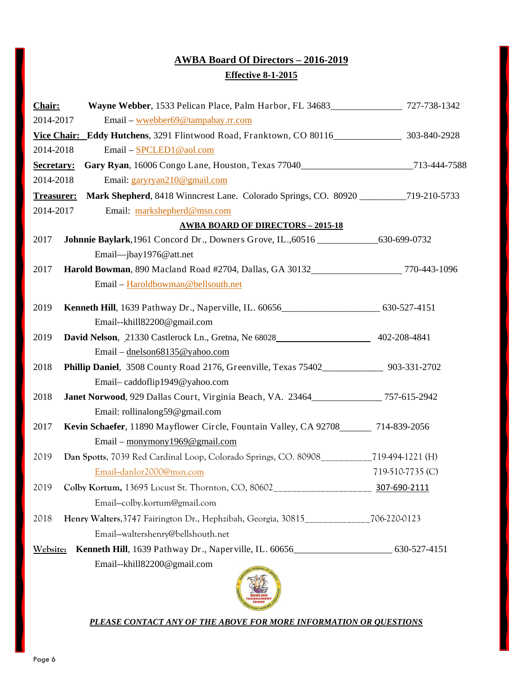# **AWBA Board Of Directors – 2016-2019 Effective 8-1-2015**

| Chair:                                         | Wayne Webber, 1533 Pelican Place, Palm Harbor, FL 34683______________________727-738-1342  |                  |  |
|------------------------------------------------|--------------------------------------------------------------------------------------------|------------------|--|
| 2014-2017<br>Email – wwebber69@tampabay.rr.com |                                                                                            |                  |  |
| <b>Vice Chair:</b>                             | Eddy Hutchens, 3291 Flintwood Road, Franktown, CO 80116 303-840-2928                       |                  |  |
| 2014-2018                                      | Email - SPCLED1@aol.com                                                                    |                  |  |
| Secretary:                                     | Gary Ryan, 16006 Congo Lane, Houston, Texas 77040_________________________713-444-7588     |                  |  |
| 2014-2018                                      | Email: garyryan210@gmail.com                                                               |                  |  |
| <b>Treasurer:</b>                              | Mark Shepherd, 8418 Winncrest Lane. Colorado Springs, CO. 80920 ____________719-210-5733   |                  |  |
| 2014-2017                                      | Email: markshepherd@msn.com                                                                |                  |  |
|                                                | <b>AWBA BOARD OF DIRECTORS - 2015-18</b>                                                   |                  |  |
| 2017                                           | Johnnie Baylark, 1961 Concord Dr., Downers Grove, IL., 60516 _______________630-699-0732   |                  |  |
|                                                | Email-jbay1976@att.net                                                                     |                  |  |
| 2017                                           | Harold Bowman, 890 Macland Road #2704, Dallas, GA 30132 770-443-1096                       |                  |  |
|                                                | Email - Haroldbowman@bellsouth.net                                                         |                  |  |
| 2019                                           | Kenneth Hill, 1639 Pathway Dr., Naperville, IL. 60656_________________________630-527-4151 |                  |  |
|                                                | Email--khill82200@gmail.com                                                                |                  |  |
| 2019                                           | David Nelson, 21330 Castlerock Ln., Gretna, Ne 68028 402-208-4841                          |                  |  |
|                                                | Email – dnelson68135@yahoo.com                                                             |                  |  |
| 2018                                           | Phillip Daniel, 3508 County Road 2176, Greenville, Texas 75402_______________ 903-331-2702 |                  |  |
|                                                | Email-caddoflip1949@yahoo.com                                                              |                  |  |
| 2018                                           | Janet Norwood, 929 Dallas Court, Virginia Beach, VA. 23464_____________757-615-2942        |                  |  |
|                                                | Email: rollinalong59@gmail.com                                                             |                  |  |
| 2017                                           | Kevin Schaefer, 11890 Mayflower Circle, Fountain Valley, CA 92708_______ 714-839-2056      |                  |  |
|                                                | Email – monymony $1969@$ gmail.com                                                         |                  |  |
| 2019                                           | Dan Spotts, 7039 Red Cardinal Loop, Colorado Springs, CO. 80908___________719-494-1221 (H) |                  |  |
|                                                | Email-danlor2000@msn.com                                                                   | 719-510-7735 (C) |  |
| 2019                                           | Colby Kortum, 13695 Locust St. Thornton, CO, 80602_______________________________          | 307-690-2111     |  |
|                                                | Email-colby.kortum@gmail.com                                                               |                  |  |
| 2018                                           | Henry Walters, 3747 Fairington Dr., Hephzibah, Georgia, 30815                              | 706-220-0123     |  |
|                                                | Email-waltershenry@bellshouth.net                                                          |                  |  |
| Website:                                       | Kenneth Hill, 1639 Pathway Dr., Naperville, IL. 60656____________________________          | 630-527-4151     |  |
|                                                | Email--khill82200@gmail.com                                                                |                  |  |



#### *PLEASE CONTACT ANY OF THE ABOVE FOR MORE INFORMATION OR QUESTIONS*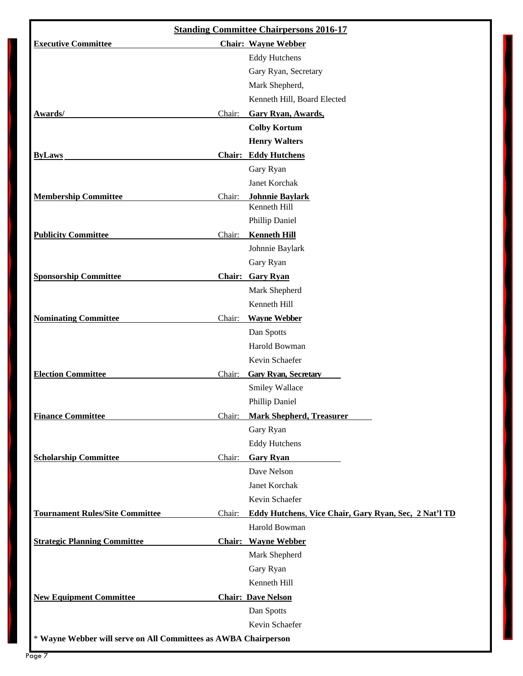| <b>Standing Committee Chairpersons 2016-17</b>                  |        |                                                              |  |  |
|-----------------------------------------------------------------|--------|--------------------------------------------------------------|--|--|
| <b>Executive Committee</b><br><b>Chair: Wayne Webber</b>        |        |                                                              |  |  |
|                                                                 |        | <b>Eddy Hutchens</b>                                         |  |  |
|                                                                 |        | Gary Ryan, Secretary                                         |  |  |
|                                                                 |        | Mark Shepherd,                                               |  |  |
|                                                                 |        | Kenneth Hill, Board Elected                                  |  |  |
| Awards/                                                         | Chair: | Gary Ryan, Awards,                                           |  |  |
|                                                                 |        | <b>Colby Kortum</b>                                          |  |  |
|                                                                 |        | <b>Henry Walters</b>                                         |  |  |
| <b>ByLaws</b>                                                   |        | <b>Chair: Eddy Hutchens</b>                                  |  |  |
|                                                                 |        | Gary Ryan                                                    |  |  |
|                                                                 |        | Janet Korchak                                                |  |  |
| <b>Membership Committee</b>                                     | Chair: | <b>Johnnie Baylark</b><br>Kenneth Hill                       |  |  |
|                                                                 |        | Phillip Daniel                                               |  |  |
| <b>Publicity Committee</b>                                      | Chair: | <b>Kenneth Hill</b>                                          |  |  |
|                                                                 |        | Johnnie Baylark                                              |  |  |
|                                                                 |        | Gary Ryan                                                    |  |  |
| <b>Sponsorship Committee</b>                                    |        | <b>Chair: Gary Ryan</b>                                      |  |  |
|                                                                 |        | Mark Shepherd                                                |  |  |
|                                                                 |        | Kenneth Hill                                                 |  |  |
| <b>Nominating Committee</b>                                     | Chair: | <b>Wayne Webber</b>                                          |  |  |
|                                                                 |        | Dan Spotts                                                   |  |  |
|                                                                 |        | Harold Bowman                                                |  |  |
|                                                                 |        | Kevin Schaefer                                               |  |  |
| <b>Election Committee</b>                                       | Chair: | <b>Gary Ryan, Secretary</b>                                  |  |  |
|                                                                 |        | Smiley Wallace                                               |  |  |
|                                                                 |        | Phillip Daniel                                               |  |  |
| <b>Finance Committee</b>                                        | Chair: | <b>Mark Shepherd, Treasurer</b>                              |  |  |
|                                                                 |        | Gary Ryan                                                    |  |  |
|                                                                 |        | <b>Eddy Hutchens</b>                                         |  |  |
| <b>Scholarship Committee</b>                                    | Chair: | <b>Gary Ryan</b>                                             |  |  |
|                                                                 |        | Dave Nelson                                                  |  |  |
|                                                                 |        | Janet Korchak                                                |  |  |
|                                                                 |        | Kevin Schaefer                                               |  |  |
| <b>Tournament Rules/Site Committee</b>                          |        | Chair: Eddy Hutchens, Vice Chair, Gary Ryan, Sec, 2 Nat'l TD |  |  |
|                                                                 |        | Harold Bowman                                                |  |  |
| <b>Strategic Planning Committee</b>                             |        | <b>Chair:</b> Wayne Webber                                   |  |  |
|                                                                 |        | Mark Shepherd                                                |  |  |
|                                                                 |        | Gary Ryan                                                    |  |  |
|                                                                 |        | Kenneth Hill                                                 |  |  |
| <b>New Equipment Committee</b>                                  |        | <b>Chair: Dave Nelson</b>                                    |  |  |
|                                                                 |        | Dan Spotts                                                   |  |  |
|                                                                 |        | Kevin Schaefer                                               |  |  |
| * Wayne Webber will serve on All Committees as AWBA Chairperson |        |                                                              |  |  |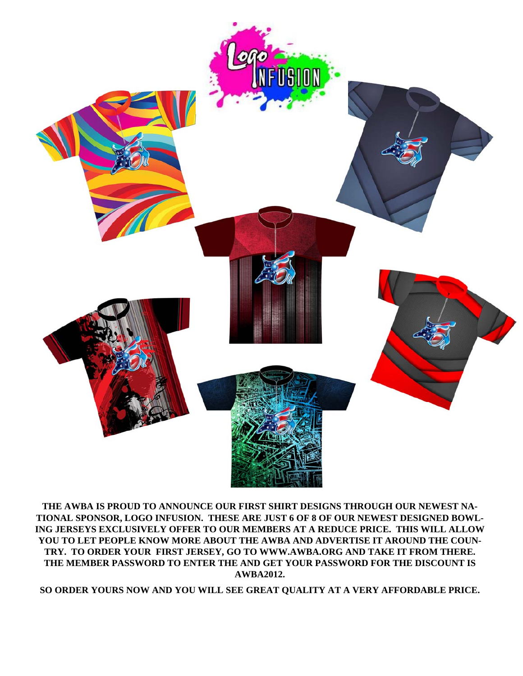

**THE AWBA IS PROUD TO ANNOUNCE OUR FIRST SHIRT DESIGNS THROUGH OUR NEWEST NA-TIONAL SPONSOR, LOGO INFUSION. THESE ARE JUST 6 OF 8 OF OUR NEWEST DESIGNED BOWL-ING JERSEYS EXCLUSIVELY OFFER TO OUR MEMBERS AT A REDUCE PRICE. THIS WILL ALLOW YOU TO LET PEOPLE KNOW MORE ABOUT THE AWBA AND ADVERTISE IT AROUND THE COUN-TRY. TO ORDER YOUR FIRST JERSEY, GO TO WWW.AWBA.ORG AND TAKE IT FROM THERE. THE MEMBER PASSWORD TO ENTER THE AND GET YOUR PASSWORD FOR THE DISCOUNT IS AWBA2012.** 

**SO ORDER YOURS NOW AND YOU WILL SEE GREAT QUALITY AT A VERY AFFORDABLE PRICE.**